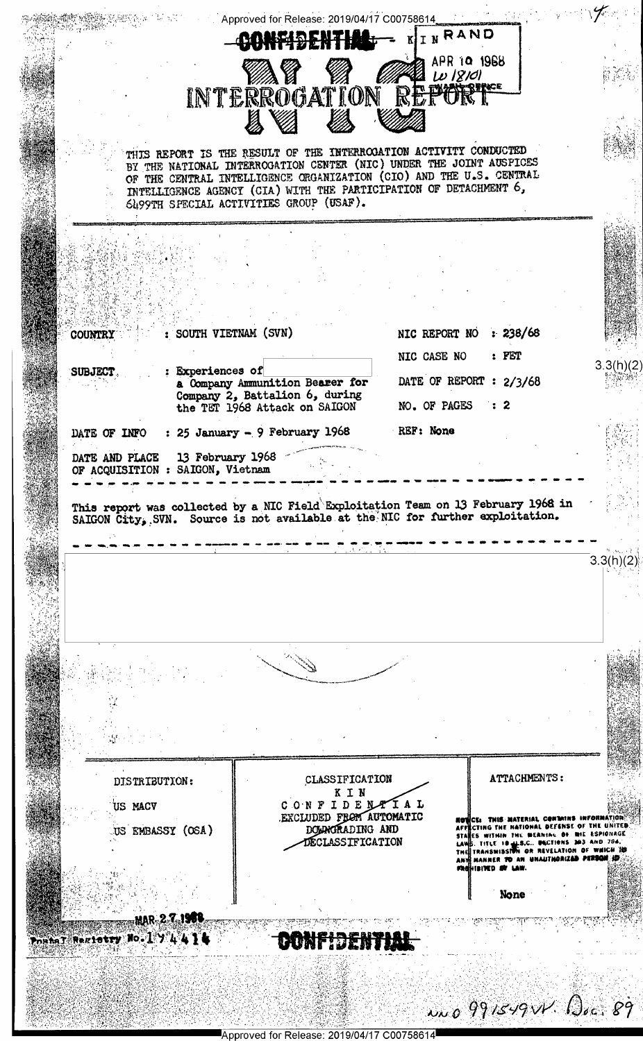

Approved for Release: 2019/04/17 C00758614